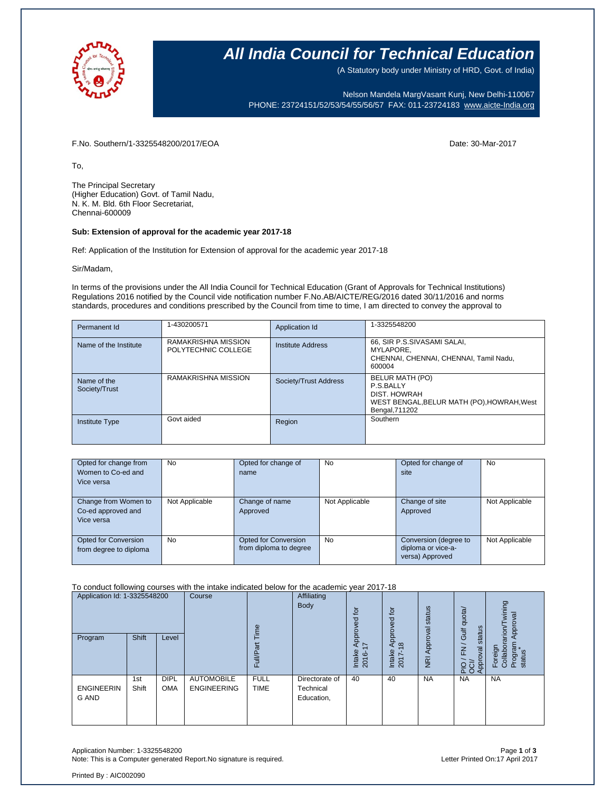

### **All India Council for Technical Education**

(A Statutory body under Ministry of HRD, Govt. of India)

Nelson Mandela MargVasant Kunj, New Delhi-110067 PHONE: 23724151/52/53/54/55/56/57 FAX: 011-23724183 [www.aicte-India.org](http://www.aicte-india.org/)

F.No. Southern/1-3325548200/2017/EOA Date: 30-Mar-2017

To,

The Principal Secretary (Higher Education) Govt. of Tamil Nadu, N. K. M. Bld. 6th Floor Secretariat, Chennai-600009

#### **Sub: Extension of approval for the academic year 2017-18**

Ref: Application of the Institution for Extension of approval for the academic year 2017-18

Sir/Madam,

In terms of the provisions under the All India Council for Technical Education (Grant of Approvals for Technical Institutions) Regulations 2016 notified by the Council vide notification number F.No.AB/AICTE/REG/2016 dated 30/11/2016 and norms standards, procedures and conditions prescribed by the Council from time to time, I am directed to convey the approval to

| Permanent Id                 | 1-430200571                                | Application Id        | 1-3325548200                                                                                                 |
|------------------------------|--------------------------------------------|-----------------------|--------------------------------------------------------------------------------------------------------------|
| Name of the Institute        | RAMAKRISHNA MISSION<br>POLYTECHNIC COLLEGE | Institute Address     | 66, SIR P.S.SIVASAMI SALAI,<br>MYLAPORE.<br>CHENNAI, CHENNAI, CHENNAI, Tamil Nadu,<br>600004                 |
| Name of the<br>Society/Trust | RAMAKRISHNA MISSION                        | Society/Trust Address | BELUR MATH (PO)<br>P.S.BALLY<br>DIST. HOWRAH<br>WEST BENGAL, BELUR MATH (PO), HOWRAH, West<br>Bengal, 711202 |
| <b>Institute Type</b>        | Govt aided                                 | Region                | Southern                                                                                                     |

| Opted for change from<br>Women to Co-ed and<br>Vice versa | No             | Opted for change of<br>name                           | No             | Opted for change of<br>site                                    | No             |
|-----------------------------------------------------------|----------------|-------------------------------------------------------|----------------|----------------------------------------------------------------|----------------|
| Change from Women to<br>Co-ed approved and<br>Vice versa  | Not Applicable | Change of name<br>Approved                            | Not Applicable | Change of site<br>Approved                                     | Not Applicable |
| Opted for Conversion<br>from degree to diploma            | <b>No</b>      | <b>Opted for Conversion</b><br>from diploma to degree | <b>No</b>      | Conversion (degree to<br>diploma or vice-a-<br>versa) Approved | Not Applicable |

### To conduct following courses with the intake indicated below for the academic year 2017-18

| Application Id: 1-3325548200<br>Program | <b>Shift</b> | Level                     | Course                                  | Time<br>Full/Part          | Affiliating<br>Body                       | for<br>공<br>Appro<br>$\overline{\phantom{0}}$<br>Intake<br>2016-1 | 호<br>공<br>Appro <sup>®</sup><br>$\infty$<br>Intake | Approval status             | quota/<br>status<br>Gulf<br>$\geq$ | wining<br>Approval<br>Collaborarion/T<br>Program<br>status<br>Foreign |
|-----------------------------------------|--------------|---------------------------|-----------------------------------------|----------------------------|-------------------------------------------|-------------------------------------------------------------------|----------------------------------------------------|-----------------------------|------------------------------------|-----------------------------------------------------------------------|
| <b>ENGINEERIN</b><br>G AND              | 1st<br>Shift | <b>DIPL</b><br><b>OMA</b> | <b>AUTOMOBILE</b><br><b>ENGINEERING</b> | <b>FULL</b><br><b>TIME</b> | Directorate of<br>Technical<br>Education, | 40                                                                | $2017 -$<br>40                                     | $\overline{g}$<br><b>NA</b> | Approval<br><b>PO</b><br><b>NA</b> | <b>NA</b>                                                             |

Application Number: 1-3325548200 Page **1** of **3** Note: This is a Computer generated Report.No signature is required.

Printed By : AIC002090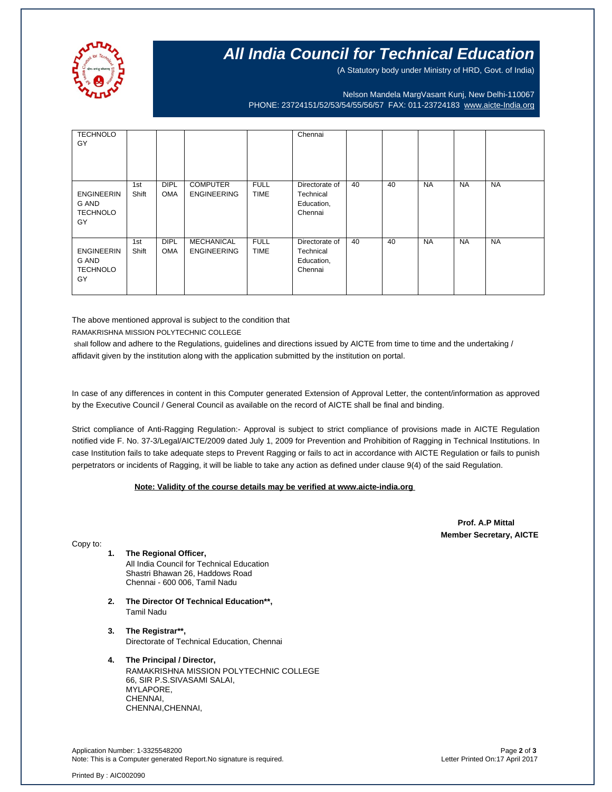

## **All India Council for Technical Education**

(A Statutory body under Ministry of HRD, Govt. of India)

Nelson Mandela MargVasant Kunj, New Delhi-110067 PHONE: 23724151/52/53/54/55/56/57 FAX: 011-23724183 [www.aicte-India.org](http://www.aicte-india.org/)

| <b>TECHNOLO</b><br>GY                               |              |                           |                                       |                            | Chennai                                              |    |    |           |           |           |
|-----------------------------------------------------|--------------|---------------------------|---------------------------------------|----------------------------|------------------------------------------------------|----|----|-----------|-----------|-----------|
|                                                     |              |                           |                                       |                            |                                                      |    |    |           |           |           |
|                                                     |              |                           |                                       |                            |                                                      |    |    |           |           |           |
| <b>ENGINEERIN</b><br>G AND<br><b>TECHNOLO</b><br>GY | 1st<br>Shift | <b>DIPL</b><br><b>OMA</b> | <b>COMPUTER</b><br><b>ENGINEERING</b> | <b>FULL</b><br><b>TIME</b> | Directorate of<br>Technical<br>Education,<br>Chennai | 40 | 40 | <b>NA</b> | <b>NA</b> | <b>NA</b> |
| <b>ENGINEERIN</b><br>G AND<br><b>TECHNOLO</b><br>GY | 1st<br>Shift | <b>DIPL</b><br><b>OMA</b> | MECHANICAL<br><b>ENGINEERING</b>      | <b>FULL</b><br><b>TIME</b> | Directorate of<br>Technical<br>Education,<br>Chennai | 40 | 40 | <b>NA</b> | <b>NA</b> | <b>NA</b> |

The above mentioned approval is subject to the condition that

RAMAKRISHNA MISSION POLYTECHNIC COLLEGE

shall follow and adhere to the Regulations, guidelines and directions issued by AICTE from time to time and the undertaking / affidavit given by the institution along with the application submitted by the institution on portal.

In case of any differences in content in this Computer generated Extension of Approval Letter, the content/information as approved by the Executive Council / General Council as available on the record of AICTE shall be final and binding.

Strict compliance of Anti-Ragging Regulation:- Approval is subject to strict compliance of provisions made in AICTE Regulation notified vide F. No. 37-3/Legal/AICTE/2009 dated July 1, 2009 for Prevention and Prohibition of Ragging in Technical Institutions. In case Institution fails to take adequate steps to Prevent Ragging or fails to act in accordance with AICTE Regulation or fails to punish perpetrators or incidents of Ragging, it will be liable to take any action as defined under clause 9(4) of the said Regulation.

### **Note: Validity of the course details may be verified at www.aicte-india.org**

 **Prof. A.P Mittal Member Secretary, AICTE**

Copy to:

- **1. The Regional Officer,** All India Council for Technical Education Shastri Bhawan 26, Haddows Road Chennai - 600 006, Tamil Nadu
- **2. The Director Of Technical Education\*\*,** Tamil Nadu
- **3. The Registrar\*\*,** Directorate of Technical Education, Chennai
- **4. The Principal / Director,** RAMAKRISHNA MISSION POLYTECHNIC COLLEGE 66, SIR P.S.SIVASAMI SALAI, MYLAPORE, CHENNAI, CHENNAI,CHENNAI,